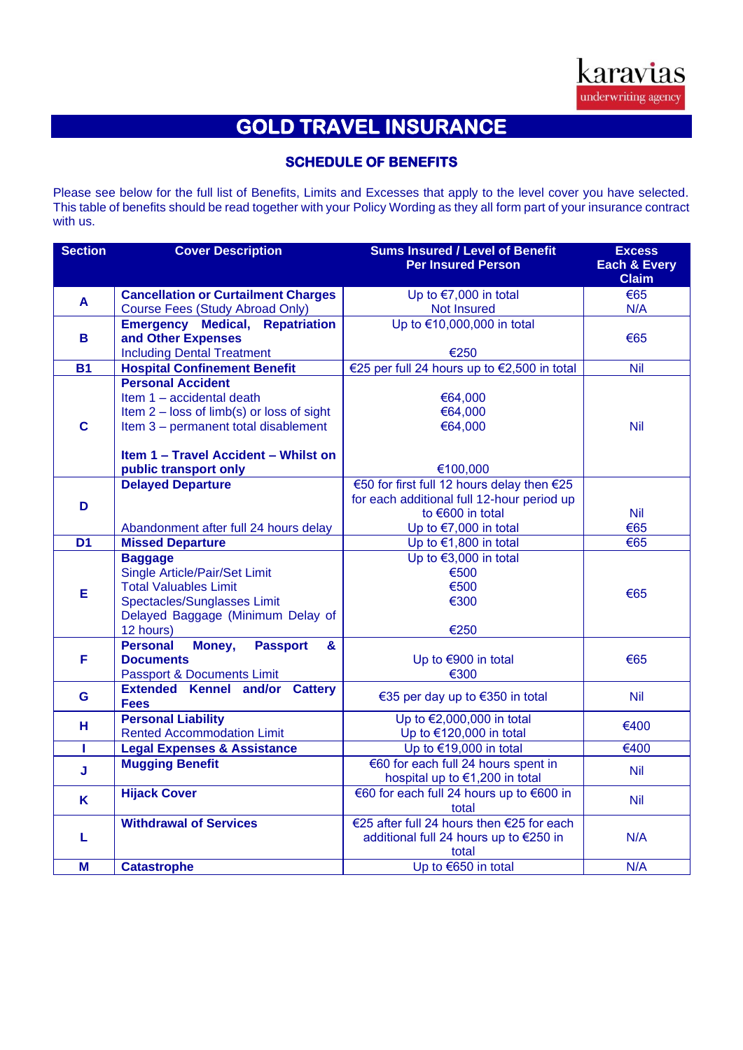# **GOLD TRAVEL INSURANCE**

## **SCHEDULE OF BENEFITS**

Please see below for the full list of Benefits, Limits and Excesses that apply to the level cover you have selected. This table of benefits should be read together with your Policy Wording as they all form part of your insurance contract with us.

| <b>Section</b> | <b>Cover Description</b>                          | <b>Sums Insured / Level of Benefit</b><br><b>Per Insured Person</b> | <b>Excess</b><br><b>Each &amp; Every</b><br><b>Claim</b> |
|----------------|---------------------------------------------------|---------------------------------------------------------------------|----------------------------------------------------------|
| A              | <b>Cancellation or Curtailment Charges</b>        | Up to $€7,000$ in total                                             | €65                                                      |
|                | <b>Course Fees (Study Abroad Only)</b>            | Not Insured                                                         | N/A                                                      |
|                | <b>Emergency Medical, Repatriation</b>            | Up to €10,000,000 in total                                          |                                                          |
| B              | and Other Expenses                                |                                                                     | €65                                                      |
|                | <b>Including Dental Treatment</b>                 | €250                                                                |                                                          |
| <b>B1</b>      | <b>Hospital Confinement Benefit</b>               | €25 per full 24 hours up to €2,500 in total                         | <b>Nil</b>                                               |
|                | <b>Personal Accident</b>                          |                                                                     |                                                          |
|                | Item 1 - accidental death                         | €64,000                                                             |                                                          |
|                | Item 2 - loss of limb(s) or loss of sight         | €64,000                                                             |                                                          |
| $\mathbf c$    | Item 3 - permanent total disablement              | €64,000                                                             | Nil                                                      |
|                |                                                   |                                                                     |                                                          |
|                | Item 1 - Travel Accident - Whilst on              |                                                                     |                                                          |
|                | public transport only                             | €100,000                                                            |                                                          |
|                | <b>Delayed Departure</b>                          | €50 for first full 12 hours delay then €25                          |                                                          |
| D              |                                                   | for each additional full 12-hour period up                          |                                                          |
|                |                                                   | to €600 in total                                                    | <b>Nil</b><br>€65                                        |
| D <sub>1</sub> | Abandonment after full 24 hours delay             | Up to $€7,000$ in total                                             | €65                                                      |
|                | <b>Missed Departure</b>                           | Up to €1,800 in total<br>Up to $€3,000$ in total                    |                                                          |
|                | <b>Baggage</b><br>Single Article/Pair/Set Limit   | €500                                                                |                                                          |
|                | <b>Total Valuables Limit</b>                      | €500                                                                |                                                          |
| E              | Spectacles/Sunglasses Limit                       | €300                                                                | €65                                                      |
|                | Delayed Baggage (Minimum Delay of                 |                                                                     |                                                          |
|                | 12 hours)                                         | €250                                                                |                                                          |
|                | <b>Personal</b><br>Money,<br><b>Passport</b><br>& |                                                                     |                                                          |
| F              | <b>Documents</b>                                  | Up to €900 in total                                                 | €65                                                      |
|                | <b>Passport &amp; Documents Limit</b>             | €300                                                                |                                                          |
| G              | <b>Extended Kennel and/or Cattery</b>             | €35 per day up to €350 in total                                     | <b>Nil</b>                                               |
|                | <b>Fees</b>                                       |                                                                     |                                                          |
| н              | <b>Personal Liability</b>                         | Up to €2,000,000 in total                                           | €400                                                     |
|                | <b>Rented Accommodation Limit</b>                 | Up to €120,000 in total                                             |                                                          |
| т              | <b>Legal Expenses &amp; Assistance</b>            | Up to €19,000 in total                                              | €400                                                     |
| J              | <b>Mugging Benefit</b>                            | €60 for each full 24 hours spent in                                 | <b>Nil</b>                                               |
|                |                                                   | hospital up to €1,200 in total                                      |                                                          |
| K              | <b>Hijack Cover</b>                               | €60 for each full 24 hours up to €600 in                            | <b>Nil</b>                                               |
|                |                                                   | total                                                               |                                                          |
|                | <b>Withdrawal of Services</b>                     | €25 after full 24 hours then €25 for each                           | N/A                                                      |
| L              |                                                   | additional full 24 hours up to €250 in<br>total                     |                                                          |
| M              | <b>Catastrophe</b>                                | Up to €650 in total                                                 | N/A                                                      |
|                |                                                   |                                                                     |                                                          |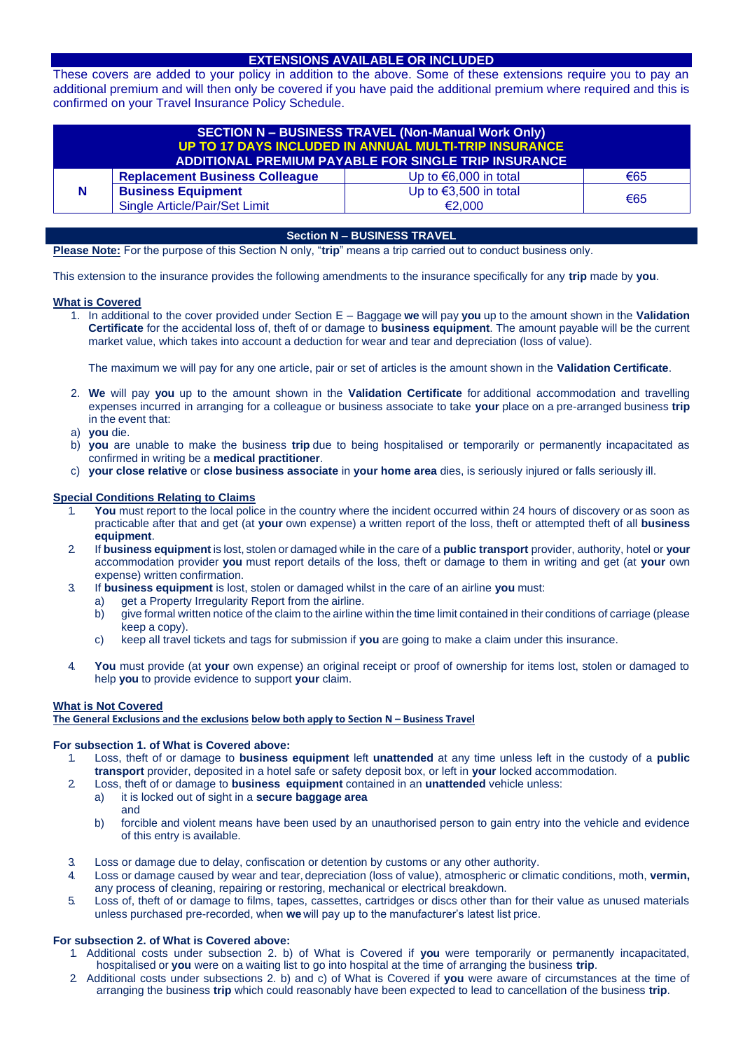## **EXTENSIONS AVAILABLE OR INCLUDED**

These covers are added to your policy in addition to the above. Some of these extensions require you to pay an additional premium and will then only be covered if you have paid the additional premium where required and this is confirmed on your Travel Insurance Policy Schedule.

| <b>SECTION N - BUSINESS TRAVEL (Non-Manual Work Only)</b><br>UP TO 17 DAYS INCLUDED IN ANNUAL MULTI-TRIP INSURANCE<br>ADDITIONAL PREMIUM PAYABLE FOR SINGLE TRIP INSURANCE |                                                            |                                           |     |
|----------------------------------------------------------------------------------------------------------------------------------------------------------------------------|------------------------------------------------------------|-------------------------------------------|-----|
|                                                                                                                                                                            | <b>Replacement Business Colleague</b>                      | Up to $\epsilon$ 6,000 in total           | €65 |
| N                                                                                                                                                                          | <b>Business Equipment</b><br>Single Article/Pair/Set Limit | Up to $\epsilon$ 3,500 in total<br>€2,000 | €65 |

## **Section N – BUSINESS TRAVEL**

**Please Note:** For the purpose of this Section N only, "**trip**" means a trip carried out to conduct business only.

This extension to the insurance provides the following amendments to the insurance specifically for any **trip** made by **you**.

## **What is Covered**

1. In additional to the cover provided under Section E – Baggage **we** will pay **you** up to the amount shown in the **Validation Certificate** for the accidental loss of, theft of or damage to **business equipment**. The amount payable will be the current market value, which takes into account a deduction for wear and tear and depreciation (loss of value).

The maximum we will pay for any one article, pair or set of articles is the amount shown in the **Validation Certificate**.

- 2. **We** will pay **you** up to the amount shown in the **Validation Certificate** for additional accommodation and travelling expenses incurred in arranging for a colleague or business associate to take **your** place on a pre-arranged business **trip** in the event that:
- a) **you** die.
- b) **you** are unable to make the business **trip** due to being hospitalised or temporarily or permanently incapacitated as confirmed in writing be a **medical practitioner**.
- c) **your close relative** or **close business associate** in **your home area** dies, is seriously injured or falls seriously ill.

## **Special Conditions Relating to Claims**

- You must report to the local police in the country where the incident occurred within 24 hours of discovery or as soon as practicable after that and get (at **your** own expense) a written report of the loss, theft or attempted theft of all **business equipment**.
- 2. If **business equipment** is lost, stolen or damaged while in the care of a **public transport** provider, authority, hotel or **your**  accommodation provider **you** must report details of the loss, theft or damage to them in writing and get (at **your** own expense) written confirmation.
- 3. If **business equipment** is lost, stolen or damaged whilst in the care of an airline **you** must:
	- a) get a Property Irregularity Report from the airline.
		- b) give formal written notice of the claim to the airline within the time limit contained in their conditions of carriage (please keep a copy).
	- c) keep all travel tickets and tags for submission if **you** are going to make a claim under this insurance.
- 4. **You** must provide (at **your** own expense) an original receipt or proof of ownership for items lost, stolen or damaged to help **you** to provide evidence to support **your** claim.

## **What is Not Covered**

## **The General Exclusions and the exclusions below both apply to Section N – Business Travel**

## **For subsection 1. of What is Covered above:**

- 1. Loss, theft of or damage to **business equipment** left **unattended** at any time unless left in the custody of a **public transport** provider, deposited in a hotel safe or safety deposit box, or left in **your** locked accommodation.
- 2. Loss, theft of or damage to **business equipment** contained in an **unattended** vehicle unless:
	- a) it is locked out of sight in a **secure baggage area** and
	- b) forcible and violent means have been used by an unauthorised person to gain entry into the vehicle and evidence of this entry is available.
- 3. Loss or damage due to delay, confiscation or detention by customs or any other authority.
- 4. Loss or damage caused by wear and tear, depreciation (loss of value), atmospheric or climatic conditions, moth, **vermin,**  any process of cleaning, repairing or restoring, mechanical or electrical breakdown.
- 5. Loss of, theft of or damage to films, tapes, cassettes, cartridges or discs other than for their value as unused materials unless purchased pre-recorded, when **we** will pay up to the manufacturer's latest list price.

## **For subsection 2. of What is Covered above:**

- 1. Additional costs under subsection 2. b) of What is Covered if **you** were temporarily or permanently incapacitated, hospitalised or **you** were on a waiting list to go into hospital at the time of arranging the business **trip**.
- 2. Additional costs under subsections 2. b) and c) of What is Covered if **you** were aware of circumstances at the time of arranging the business **trip** which could reasonably have been expected to lead to cancellation of the business **trip**.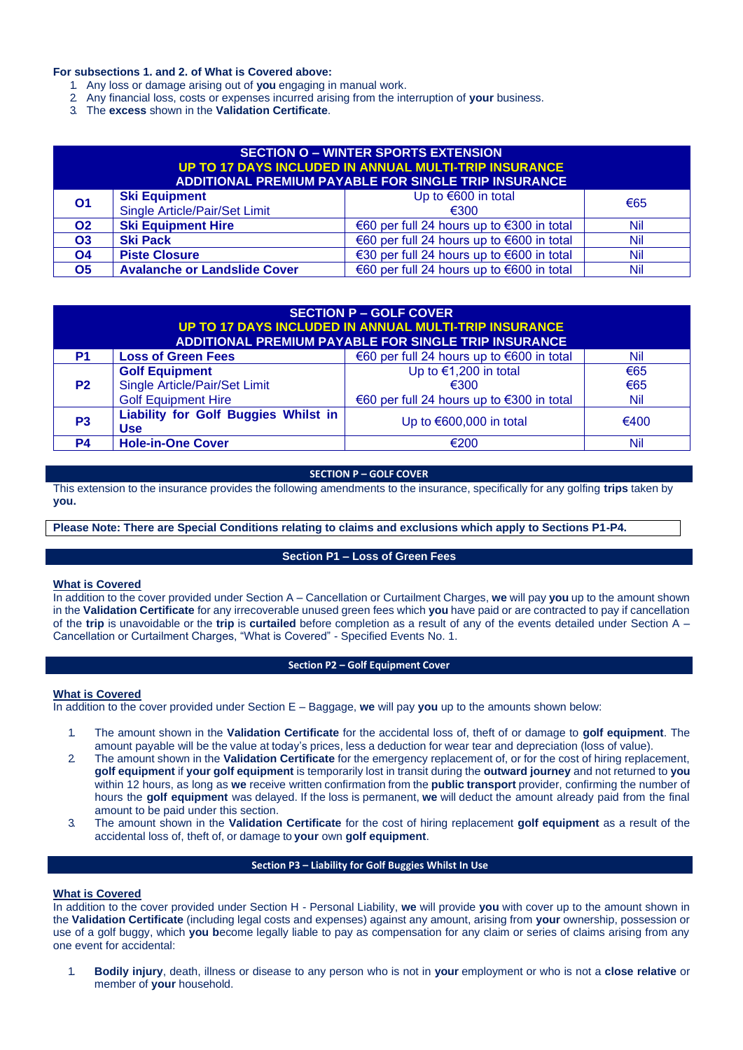## **For subsections 1. and 2. of What is Covered above:**

- 1. Any loss or damage arising out of **you** engaging in manual work.
- 2. Any financial loss, costs or expenses incurred arising from the interruption of **your** business.
- 3. The **excess** shown in the **Validation Certificate**.

| <b>SECTION O - WINTER SPORTS EXTENSION</b><br>UP TO 17 DAYS INCLUDED IN ANNUAL MULTI-TRIP INSURANCE<br>ADDITIONAL PREMIUM PAYABLE FOR SINGLE TRIP INSURANCE |                                                       |                                           |            |  |
|-------------------------------------------------------------------------------------------------------------------------------------------------------------|-------------------------------------------------------|-------------------------------------------|------------|--|
| <b>O1</b>                                                                                                                                                   | <b>Ski Equipment</b><br>Single Article/Pair/Set Limit | Up to $€600$ in total<br>€300             | €65        |  |
| O <sub>2</sub>                                                                                                                                              | <b>Ski Equipment Hire</b>                             | €60 per full 24 hours up to €300 in total | Nil        |  |
| <b>O3</b>                                                                                                                                                   | <b>Ski Pack</b>                                       | €60 per full 24 hours up to €600 in total | <b>Nil</b> |  |
| <b>O4</b>                                                                                                                                                   | <b>Piste Closure</b>                                  | €30 per full 24 hours up to €600 in total | Nil        |  |
| <b>O5</b>                                                                                                                                                   | <b>Avalanche or Landslide Cover</b>                   | €60 per full 24 hours up to €600 in total | Nil        |  |

| <b>SECTION P – GOLF COVER</b><br>UP TO 17 DAYS INCLUDED IN ANNUAL MULTI-TRIP INSURANCE<br>ADDITIONAL PREMIUM PAYABLE FOR SINGLE TRIP INSURANCE |                                                           |                                           |      |  |
|------------------------------------------------------------------------------------------------------------------------------------------------|-----------------------------------------------------------|-------------------------------------------|------|--|
| <b>P1</b>                                                                                                                                      | <b>Loss of Green Fees</b>                                 | €60 per full 24 hours up to €600 in total | Nil  |  |
|                                                                                                                                                | <b>Golf Equipment</b>                                     | Up to $€1,200$ in total                   | €65  |  |
| P <sub>2</sub>                                                                                                                                 | Single Article/Pair/Set Limit                             | $\epsilon$ 300                            | €65  |  |
|                                                                                                                                                | <b>Golf Equipment Hire</b>                                | €60 per full 24 hours up to €300 in total | Nil  |  |
| P <sub>3</sub>                                                                                                                                 | <b>Liability for Golf Buggies Whilst in</b><br><b>Use</b> | Up to $€600,000$ in total                 | €400 |  |
| P4                                                                                                                                             | <b>Hole-in-One Cover</b>                                  | €200                                      | Nil  |  |

## **SECTION P – GOLF COVER**

This extension to the insurance provides the following amendments to the insurance, specifically for any golfing **trips** taken by **you.** 

**Please Note: There are Special Conditions relating to claims and exclusions which apply to Sections P1-P4.** 

## **Section P1 – Loss of Green Fees**

## **What is Covered**

In addition to the cover provided under Section A – Cancellation or Curtailment Charges, **we** will pay **you** up to the amount shown in the **Validation Certificate** for any irrecoverable unused green fees which **you** have paid or are contracted to pay if cancellation of the **trip** is unavoidable or the **trip** is **curtailed** before completion as a result of any of the events detailed under Section A – Cancellation or Curtailment Charges, "What is Covered" - Specified Events No. 1.

## **Section P2 – Golf Equipment Cover**

## **What is Covered**

In addition to the cover provided under Section E – Baggage, **we** will pay **you** up to the amounts shown below:

- 1. The amount shown in the **Validation Certificate** for the accidental loss of, theft of or damage to **golf equipment**. The amount payable will be the value at today's prices, less a deduction for wear tear and depreciation (loss of value).
- 2. The amount shown in the **Validation Certificate** for the emergency replacement of, or for the cost of hiring replacement, **golf equipment** if **your golf equipment** is temporarily lost in transit during the **outward journey** and not returned to **you**  within 12 hours, as long as **we** receive written confirmation from the **public transport** provider, confirming the number of hours the **golf equipment** was delayed. If the loss is permanent, **we** will deduct the amount already paid from the final amount to be paid under this section.
- 3. The amount shown in the **Validation Certificate** for the cost of hiring replacement **golf equipment** as a result of the accidental loss of, theft of, or damage to **your** own **golf equipment**.

## **Section P3 – Liability for Golf Buggies Whilst In Use**

## **What is Covered**

In addition to the cover provided under Section H - Personal Liability, **we** will provide **you** with cover up to the amount shown in the **Validation Certificate** (including legal costs and expenses) against any amount, arising from **your** ownership, possession or use of a golf buggy, which **you b**ecome legally liable to pay as compensation for any claim or series of claims arising from any one event for accidental:

1. **Bodily injury**, death, illness or disease to any person who is not in **your** employment or who is not a **close relative** or member of **your** household.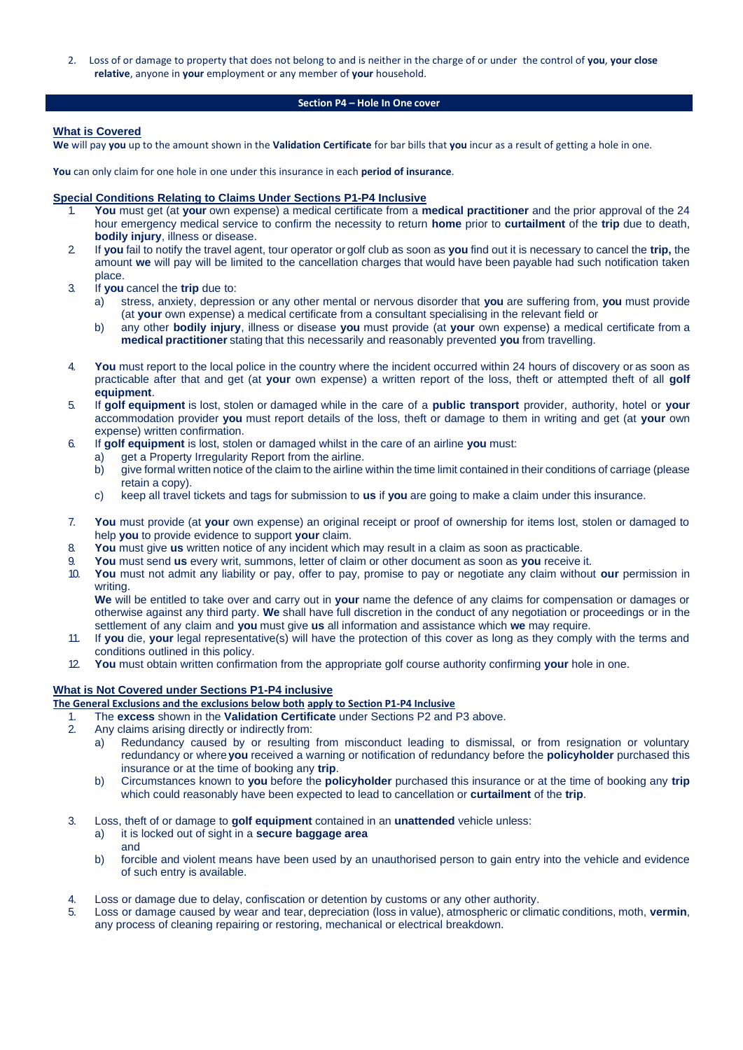2. Loss of or damage to property that does not belong to and is neither in the charge of or under the control of **you**, **your close relative**, anyone in **your** employment or any member of **your** household.

## **Section P4 – Hole In One cover**

## **What is Covered**

**We** will pay **you** up to the amount shown in the **Validation Certificate** for bar bills that **you** incur as a result of getting a hole in one.

**You** can only claim for one hole in one under this insurance in each **period of insurance**.

## **Special Conditions Relating to Claims Under Sections P1-P4 Inclusive**

- 1. **You** must get (at **your** own expense) a medical certificate from a **medical practitioner** and the prior approval of the 24 hour emergency medical service to confirm the necessity to return **home** prior to **curtailment** of the **trip** due to death, **bodily injury**, illness or disease.
- 2. If **you** fail to notify the travel agent, tour operator or golf club as soon as **you** find out it is necessary to cancel the **trip,** the amount **we** will pay will be limited to the cancellation charges that would have been payable had such notification taken place.
- 3. If **you** cancel the **trip** due to:
	- a) stress, anxiety, depression or any other mental or nervous disorder that **you** are suffering from, **you** must provide (at **your** own expense) a medical certificate from a consultant specialising in the relevant field or
	- b) any other **bodily injury**, illness or disease **you** must provide (at **your** own expense) a medical certificate from a **medical practitioner** stating that this necessarily and reasonably prevented **you** from travelling.
- 4. **You** must report to the local police in the country where the incident occurred within 24 hours of discovery or as soon as practicable after that and get (at **your** own expense) a written report of the loss, theft or attempted theft of all **golf equipment**.
- 5. If **golf equipment** is lost, stolen or damaged while in the care of a **public transport** provider, authority, hotel or **your**  accommodation provider **you** must report details of the loss, theft or damage to them in writing and get (at **your** own expense) written confirmation.
- 6. If **golf equipment** is lost, stolen or damaged whilst in the care of an airline **you** must:
	- a) get a Property Irregularity Report from the airline.
	- b) give formal written notice of the claim to the airline within the time limit contained in their conditions of carriage (please retain a copy).
	- c) keep all travel tickets and tags for submission to **us** if **you** are going to make a claim under this insurance.
- 7. **You** must provide (at **your** own expense) an original receipt or proof of ownership for items lost, stolen or damaged to help **you** to provide evidence to support **your** claim.
- 8. **You** must give **us** written notice of any incident which may result in a claim as soon as practicable.
- 9. **You** must send **us** every writ, summons, letter of claim or other document as soon as **you** receive it.
- 10. **You** must not admit any liability or pay, offer to pay, promise to pay or negotiate any claim without **our** permission in writing.

**We** will be entitled to take over and carry out in **your** name the defence of any claims for compensation or damages or otherwise against any third party. **We** shall have full discretion in the conduct of any negotiation or proceedings or in the settlement of any claim and **you** must give **us** all information and assistance which **we** may require.

- 11. If **you** die, **your** legal representative(s) will have the protection of this cover as long as they comply with the terms and conditions outlined in this policy.
- 12. **You** must obtain written confirmation from the appropriate golf course authority confirming **your** hole in one.

## **What is Not Covered under Sections P1-P4 inclusive**

## **The General Exclusions and the exclusions below both apply to Section P1-P4 Inclusive**

1. The **excess** shown in the **Validation Certificate** under Sections P2 and P3 above.

- 2. Any claims arising directly or indirectly from:
	- a) Redundancy caused by or resulting from misconduct leading to dismissal, or from resignation or voluntary redundancy or where**you** received a warning or notification of redundancy before the **policyholder** purchased this insurance or at the time of booking any **trip**.
	- b) Circumstances known to **you** before the **policyholder** purchased this insurance or at the time of booking any **trip**  which could reasonably have been expected to lead to cancellation or **curtailment** of the **trip**.
- 3. Loss, theft of or damage to **golf equipment** contained in an **unattended** vehicle unless:
	- a) it is locked out of sight in a **secure baggage area** and
	- b) forcible and violent means have been used by an unauthorised person to gain entry into the vehicle and evidence of such entry is available.
- 4. Loss or damage due to delay, confiscation or detention by customs or any other authority.
- 5. Loss or damage caused by wear and tear, depreciation (loss in value), atmospheric or climatic conditions, moth, **vermin**, any process of cleaning repairing or restoring, mechanical or electrical breakdown.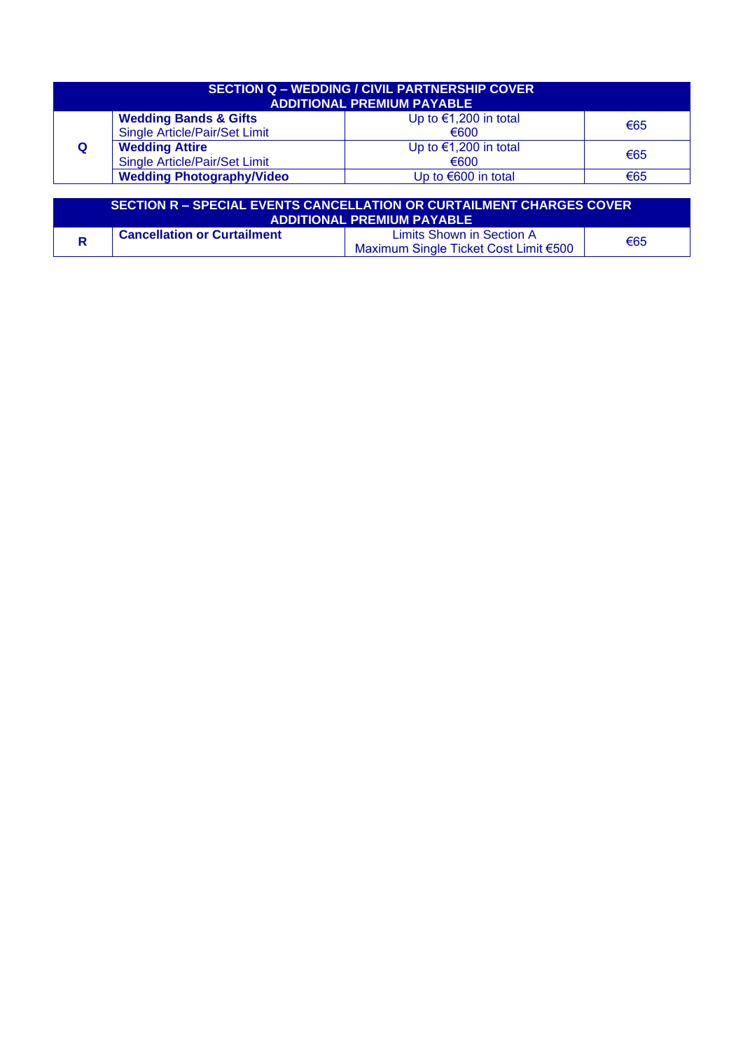| <b>SECTION Q - WEDDING / CIVIL PARTNERSHIP COVER</b><br><b>ADDITIONAL PREMIUM PAYABLE</b> |                                  |                         |     |  |
|-------------------------------------------------------------------------------------------|----------------------------------|-------------------------|-----|--|
|                                                                                           | <b>Wedding Bands &amp; Gifts</b> | Up to $€1,200$ in total | €65 |  |
|                                                                                           | Single Article/Pair/Set Limit    | €600                    |     |  |
| Q                                                                                         | <b>Wedding Attire</b>            | Up to $€1,200$ in total | €65 |  |
|                                                                                           | Single Article/Pair/Set Limit    | €600                    |     |  |
|                                                                                           | <b>Wedding Photography/Video</b> | Up to $€600$ in total   | €65 |  |

| 'SECTION R – SPECIAL EVENTS CANCELLATION OR CURTAILMENT CHARGES COVER (<br><b>ADDITIONAL PREMIUM PAYABLE</b> |                                    |                                                                    |     |  |
|--------------------------------------------------------------------------------------------------------------|------------------------------------|--------------------------------------------------------------------|-----|--|
|                                                                                                              | <b>Cancellation or Curtailment</b> | Limits Shown in Section A<br>Maximum Single Ticket Cost Limit €500 | €65 |  |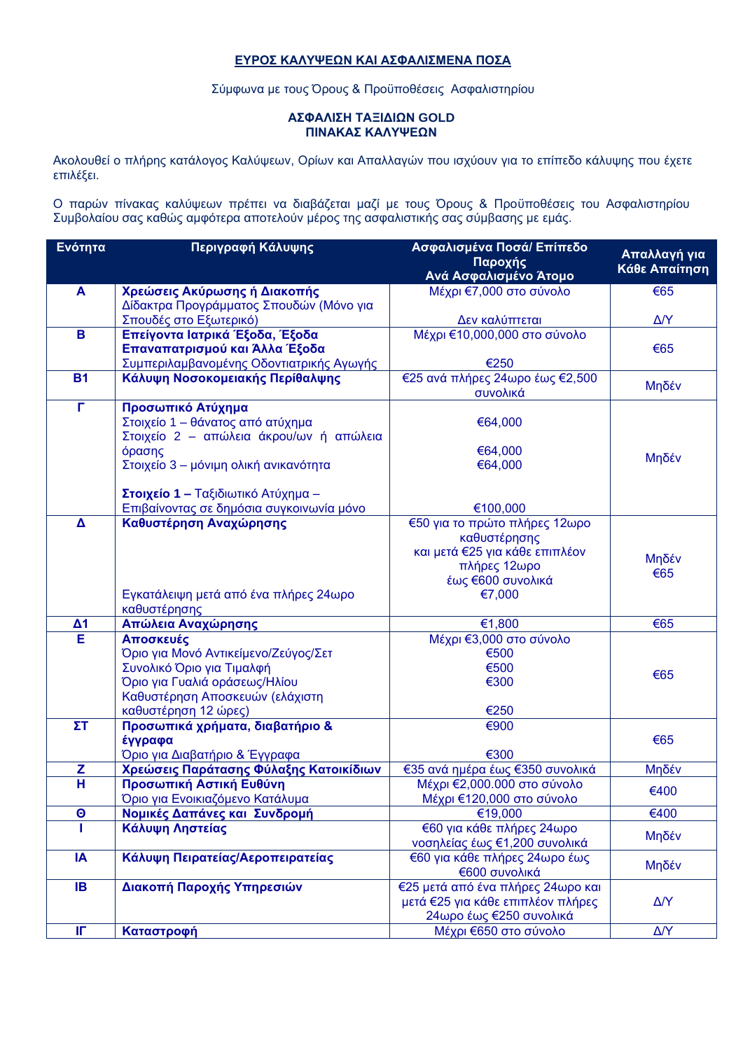## **ΕΥΡΟΣ ΚΑΛΥΨΕΩΝ ΚΑΙ ΑΣΦΑΛΙΣΜΕΝΑ ΠΟΣΑ**

Σύμφωνα με τους Όρους & Προϋποθέσεις Ασφαλιστηρίου

## **ΑΣΦΑΛΙΣΗ ΤΑΞΙΔΙΩΝ GOLD ΠΙΝΑΚΑΣ ΚΑΛΥΨΕΩΝ**

Ακολουθεί ο πλήρης κατάλογος Καλύψεων, Ορίων και Απαλλαγών που ισχύουν για το επίπεδο κάλυψης που έχετε επιλέξει.

Ο παρών πίνακας καλύψεων πρέπει να διαβάζεται μαζί με τους Όρους & Προϋποθέσεις του Ασφαλιστηρίου Συμβολαίου σας καθώς αμφότερα αποτελούν μέρος της ασφαλιστικής σας σύμβασης με εμάς.

| Ενότητα                 | Περιγραφή Κάλυψης                                                              | Ασφαλισμένα Ποσά/ Επίπεδο<br>Παροχής<br>Ανά Ασφαλισμένο Άτομο | Απαλλαγή για<br>Κάθε Απαίτηση |
|-------------------------|--------------------------------------------------------------------------------|---------------------------------------------------------------|-------------------------------|
| A                       | Χρεώσεις Ακύρωσης ή Διακοπής                                                   | Μέχρι €7,000 στο σύνολο                                       | €65                           |
|                         | Δίδακτρα Προγράμματος Σπουδών (Μόνο για                                        |                                                               |                               |
|                         | Σπουδές στο Εξωτερικό)                                                         | Δεν καλύπτεται                                                | $\Delta/Y$                    |
| B                       | Επείγοντα Ιατρικά Έξοδα, Έξοδα                                                 | Μέχρι €10,000,000 στο σύνολο                                  |                               |
|                         | Επαναπατρισμού και Άλλα Έξοδα                                                  |                                                               | €65                           |
|                         | Συμπεριλαμβανομένης Οδοντιατρικής Αγωγής                                       | €250                                                          |                               |
| <b>B1</b>               | Κάλυψη Νοσοκομειακής Περίθαλψης                                                | €25 ανά πλήρες 24ωρο έως €2,500                               | Μηδέν                         |
|                         |                                                                                | συνολικά                                                      |                               |
| Г                       | Προσωπικό Ατύχημα                                                              |                                                               |                               |
|                         | Στοιχείο 1 – θάνατος από ατύχημα                                               | €64,000                                                       |                               |
|                         | Στοιχείο 2 - απώλεια άκρου/ων ή απώλεια                                        |                                                               |                               |
|                         | όρασης                                                                         | €64,000                                                       | Μηδέν                         |
|                         | Στοιχείο 3 - μόνιμη ολική ανικανότητα                                          | €64,000                                                       |                               |
|                         |                                                                                |                                                               |                               |
|                         | Στοιχείο 1 - Ταξιδιωτικό Ατύχημα -<br>Επιβαίνοντας σε δημόσια συγκοινωνία μόνο |                                                               |                               |
| $\pmb{\Delta}$          |                                                                                | €100,000<br>€50 για το πρώτο πλήρες 12ωρο                     |                               |
|                         | Καθυστέρηση Αναχώρησης                                                         | καθυστέρησης                                                  |                               |
|                         |                                                                                | και μετά €25 για κάθε επιπλέον                                |                               |
|                         |                                                                                |                                                               | Μηδέν                         |
|                         |                                                                                | πλήρες 12ωρο<br>έως €600 συνολικά                             | €65                           |
|                         | Εγκατάλειψη μετά από ένα πλήρες 24ωρο                                          | €7,000                                                        |                               |
|                         | καθυστέρησης                                                                   |                                                               |                               |
| $\Delta$ 1              | Απώλεια Αναχώρησης                                                             | €1,800                                                        | €65                           |
| Ē                       | Αποσκευές                                                                      | Μέχρι €3,000 στο σύνολο                                       |                               |
|                         | Όριο για Μονό Αντικείμενο/Ζεύγος/Σετ                                           | €500                                                          |                               |
|                         | Συνολικό Όριο για Τιμαλφή                                                      | €500                                                          |                               |
|                         | Όριο για Γυαλιά οράσεως/Ηλίου                                                  | €300                                                          | €65                           |
|                         | Καθυστέρηση Αποσκευών (ελάχιστη                                                |                                                               |                               |
|                         | καθυστέρηση 12 ώρες)                                                           | €250                                                          |                               |
| $\Sigma$ T              | Προσωπικά χρήματα, διαβατήριο &                                                | €900                                                          |                               |
|                         | έγγραφα                                                                        |                                                               | €65                           |
|                         | Όριο για Διαβατήριο & Έγγραφα                                                  | €300                                                          |                               |
| Z                       | Χρεώσεις Παράτασης Φύλαξης Κατοικίδιων                                         | €35 ανά ημέρα έως €350 συνολικά                               | Μηδέν                         |
| $\overline{\mathsf{H}}$ | Προσωπική Αστική Ευθύνη                                                        | Μέχρι €2,000.000 στο σύνολο                                   | €400                          |
|                         | Όριο για Ενοικιαζόμενο Κατάλυμα                                                | Μέχρι €120,000 στο σύνολο                                     |                               |
| $\boldsymbol{\Theta}$   | Νομικές Δαπάνες και Συνδρομή                                                   | €19,000                                                       | €400                          |
|                         | Κάλυψη Ληστείας                                                                | €60 για κάθε πλήρες 24ωρο                                     | Μηδέν                         |
|                         |                                                                                | νοσηλείας έως €1,200 συνολικά                                 |                               |
| IA                      | Κάλυψη Πειρατείας/Αεροπειρατείας                                               | €60 για κάθε πλήρες 24ωρο έως                                 | Μηδέν                         |
|                         |                                                                                | €600 συνολικά                                                 |                               |
| IB                      | Διακοπή Παροχής Υπηρεσιών                                                      | €25 μετά από ένα πλήρες 24ωρο και                             |                               |
|                         |                                                                                | μετά €25 για κάθε επιπλέον πλήρες                             | $\Delta$ Y                    |
|                         |                                                                                | 24ωρο έως €250 συνολικά                                       |                               |
| IГ                      | Καταστροφή                                                                     | Μέχρι €650 στο σύνολο                                         | $\Delta Y$                    |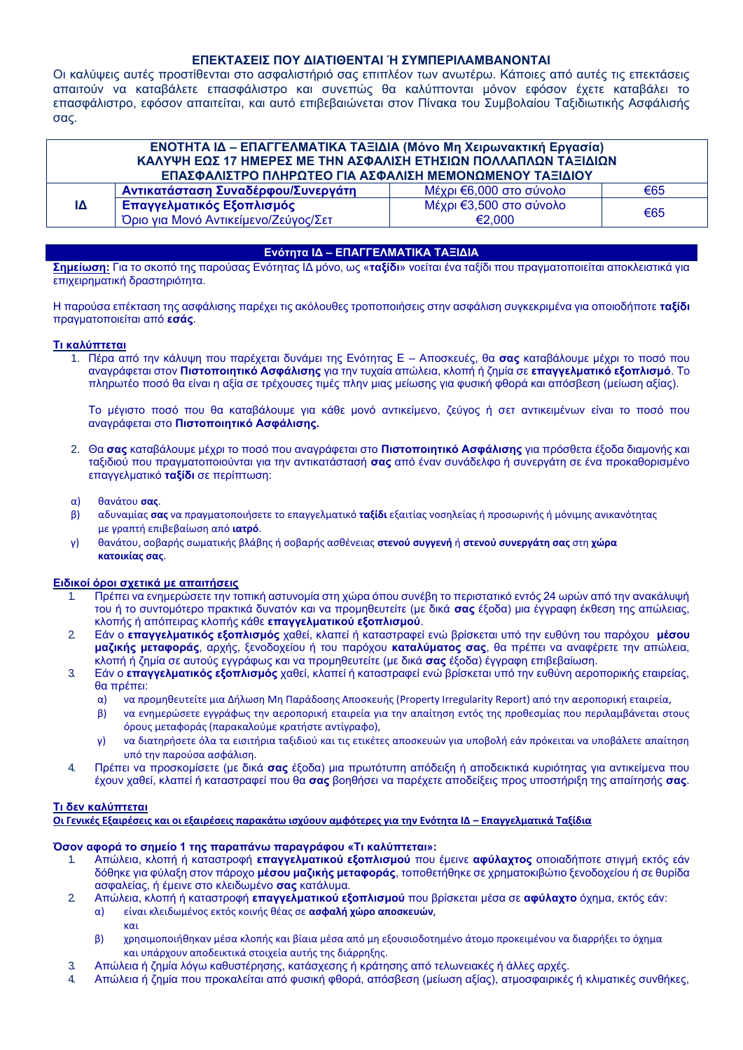## **ΕΠΕΚΤΑΣΕΙΣ ΠΟΥ ΔΙΑΤΙΘΕΝΤΑΙ Ή ΣΥΜΠΕΡΙΛΑΜΒΑΝΟΝΤΑΙ**

Οι καλύψεις αυτές προστίθενται στο ασφαλιστήριό σας επιπλέον των ανωτέρω. Κάποιες από αυτές τις επεκτάσεις απαιτούν να καταβάλετε επασφάλιστρο και συνεπώς θα καλύπτονται μόνον εφόσον έχετε καταβάλει το επασφάλιστρο, εφόσον απαιτείται, και αυτό επιβεβαιώνεται στον Πίνακα του Συμβολαίου Ταξιδιωτικής Ασφάλισής σας.

| ΕΝΟΤΗΤΑ ΙΔ - ΕΠΑΓΓΕΛΜΑΤΙΚΑ ΤΑΞΙΔΙΑ (Μόνο Μη Χειρωνακτική Εργασία) |                                      |                         |     |  |
|-------------------------------------------------------------------|--------------------------------------|-------------------------|-----|--|
| ΚΑΛΥΨΗ ΕΩΣ 17 ΗΜΕΡΕΣ ΜΕ ΤΗΝ ΑΣΦΑΛΙΣΗ ΕΤΗΣΙΩΝ ΠΟΛΛΑΠΛΩΝ ΤΑΞΙΔΙΩΝ   |                                      |                         |     |  |
| ΕΠΑΣΦΑΛΙΣΤΡΟ ΠΛΗΡΩΤΕΟ ΓΙΑ ΑΣΦΑΛΙΣΗ ΜΕΜΟΝΩΜΕΝΟΥ ΤΑΞΙΔΙΟΥ           |                                      |                         |     |  |
|                                                                   | Αντικατάσταση Συναδέρφου/Συνεργάτη   | Μέχρι €6,000 στο σύνολο | €65 |  |
| IΔ                                                                | Επαγγελματικός Εξοπλισμός            | Μέχρι €3,500 στο σύνολο | €65 |  |
|                                                                   | Όριο για Μονό Αντικείμενο/Ζεύγος/Σετ | €2.000                  |     |  |

## **Ενότητα ΙΔ – ΕΠΑΓΓΕΛΜΑΤΙΚΑ ΤΑΞΙΔΙΑ**

**Σημείωση:** Για το σκοπό της παρούσας Ενότητας ΙΔ μόνο, ως «**ταξίδι**» νοείται ένα ταξίδι που πραγματοποιείται αποκλειστικά για επιχειρηματική δραστηριότητα.

Η παρούσα επέκταση της ασφάλισης παρέχει τις ακόλουθες τροποποιήσεις στην ασφάλιση συγκεκριμένα για οποιοδήποτε **ταξίδι**  πραγματοποιείται από **εσάς**.

## **Τι καλύπτεται**

1. Πέρα από την κάλυψη που παρέχεται δυνάμει της Ενότητας Ε – Αποσκευές, θα **σας** καταβάλουμε μέχρι το ποσό που αναγράφεται στον **Πιστοποιητικό Ασφάλισης** για την τυχαία απώλεια, κλοπή ή ζημία σε **επαγγελματικό εξοπλισμό**. Το πληρωτέο ποσό θα είναι η αξία σε τρέχουσες τιμές πλην μιας μείωσης για φυσική φθορά και απόσβεση (μείωση αξίας).

Το μέγιστο ποσό που θα καταβάλουμε για κάθε μονό αντικείμενο, ζεύγος ή σετ αντικειμένων είναι το ποσό που αναγράφεται στο **Πιστοποιητικό Ασφάλισης.**

2. Θα **σας** καταβάλουμε μέχρι το ποσό που αναγράφεται στο **Πιστοποιητικό Ασφάλισης** για πρόσθετα έξοδα διαμονής και ταξιδιού που πραγματοποιούνται για την αντικατάστασή **σας** από έναν συνάδελφο ή συνεργάτη σε ένα προκαθορισμένο επαγγελματικό **ταξίδι** σε περίπτωση:

## α) θανάτου **σας**.

- β) αδυναμίας **σας** να πραγματοποιήσετε το επαγγελματικό **ταξίδι** εξαιτίας νοσηλείας ή προσωρινής ή μόνιμης ανικανότητας με γραπτή επιβεβαίωση από **ιατρό**.
- γ) θανάτου, σοβαρής σωματικής βλάβης ή σοβαρής ασθένειας **στενού συγγενή** ή **στενού συνεργάτη σας** στη **χώρα κατοικίας σας**.

## **Ειδικοί όροι σχετικά με απαιτήσεις**

- 1. Πρέπει να ενημερώσετε την τοπική αστυνομία στη χώρα όπου συνέβη το περιστατικό εντός 24 ωρών από την ανακάλυψή του ή το συντομότερο πρακτικά δυνατόν και να προμηθευτείτε (με δικά **σας** έξοδα) μια έγγραφη έκθεση της απώλειας, κλοπής ή απόπειρας κλοπής κάθε **επαγγελματικού εξοπλισμού**.
- 2. Εάν ο **επαγγελματικός εξοπλισμός** χαθεί, κλαπεί ή καταστραφεί ενώ βρίσκεται υπό την ευθύνη του παρόχου **μέσου μαζικής μεταφοράς**, αρχής, ξενοδοχείου ή του παρόχου **καταλύματος σας**, θα πρέπει να αναφέρετε την απώλεια, κλοπή ή ζημία σε αυτούς εγγράφως και να προμηθευτείτε (με δικά **σας** έξοδα) έγγραφη επιβεβαίωση.
- 3. Εάν ο **επαγγελματικός εξοπλισμός** χαθεί, κλαπεί ή καταστραφεί ενώ βρίσκεται υπό την ευθύνη αεροπορικής εταιρείας, θα πρέπει:
	- α) να προμηθευτείτε μια Δήλωση Μη Παράδοσης Αποσκευής (Property Irregularity Report) από την αεροπορική εταιρεία,
	- β) να ενημερώσετε εγγράφως την αεροπορική εταιρεία για την απαίτηση εντός της προθεσμίας που περιλαμβάνεται στους όρους μεταφοράς (παρακαλούμε κρατήστε αντίγραφο),
	- γ) να διατηρήσετε όλα τα εισιτήρια ταξιδιού και τις ετικέτες αποσκευών για υποβολή εάν πρόκειται να υποβάλετε απαίτηση υπό την παρούσα ασφάλιση.
- 4. Πρέπει να προσκομίσετε (με δικά **σας** έξοδα) μια πρωτότυπη απόδειξη ή αποδεικτικά κυριότητας για αντικείμενα που έχουν χαθεί, κλαπεί ή καταστραφεί που θα **σας** βοηθήσει να παρέχετε αποδείξεις προς υποστήριξη της απαίτησής **σας**.

## **Τι δεν καλύπτεται**

και

**Οι Γενικές Εξαιρέσεις και οι εξαιρέσεις παρακάτω ισχύουν αμφότερες για την Ενότητα ΙΔ – Επαγγελματικά Ταξίδια**

## **Όσον αφορά το σημείο 1 της παραπάνω παραγράφου «Τι καλύπτεται»:**

- 1. Απώλεια, κλοπή ή καταστροφή **επαγγελματικού εξοπλισμού** που έμεινε **αφύλαχτος** οποιαδήποτε στιγμή εκτός εάν δόθηκε για φύλαξη στον πάροχο **μέσου μαζικής μεταφοράς**, τοποθετήθηκε σε χρηματοκιβώτιο ξενοδοχείου ή σε θυρίδα ασφαλείας, ή έμεινε στο κλειδωμένο **σας** κατάλυμα.
- 2. Απώλεια, κλοπή ή καταστροφή **επαγγελματικού εξοπλισμού** που βρίσκεται μέσα σε **αφύλαχτο** όχημα, εκτός εάν: α) είναι κλειδωμένος εκτός κοινής θέας σε **ασφαλή χώρο αποσκευών**,
	- β) χρησιμοποιήθηκαν μέσα κλοπής και βίαια μέσα από μη εξουσιοδοτημένο άτομο προκειμένου να διαρρήξει το όχημα και υπάρχουν αποδεικτικά στοιχεία αυτής της διάρρηξης.
- 3. Απώλεια ή ζημία λόγω καθυστέρησης, κατάσχεσης ή κράτησης από τελωνειακές ή άλλες αρχές.
- 4. Απώλεια ή ζημία που προκαλείται από φυσική φθορά, απόσβεση (μείωση αξίας), ατμοσφαιρικές ή κλιματικές συνθήκες,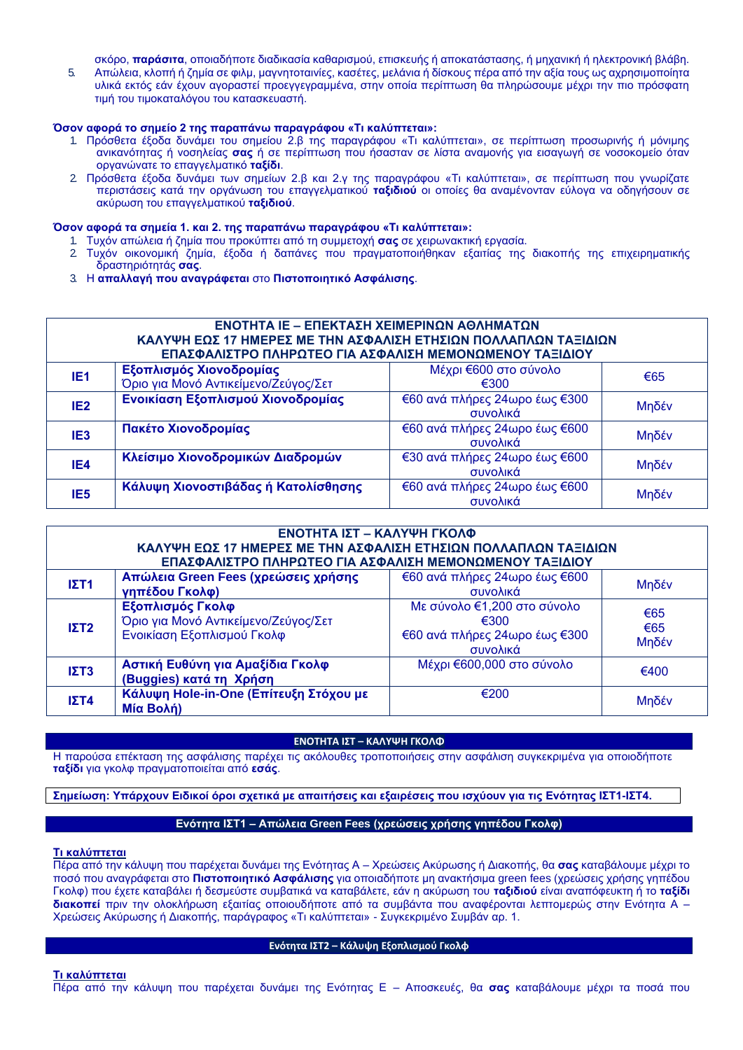σκόρο, **παράσιτα**, οποιαδήποτε διαδικασία καθαρισμού, επισκευής ή αποκατάστασης, ή μηχανική ή ηλεκτρονική βλάβη.

5. Απώλεια, κλοπή ή ζημία σε φιλμ, μαγνητοταινίες, κασέτες, μελάνια ή δίσκους πέρα από την αξία τους ως αχρησιμοποίητα υλικά εκτός εάν έχουν αγοραστεί προεγγεγραμμένα, στην οποία περίπτωση θα πληρώσουμε μέχρι την πιο πρόσφατη τιμή του τιμοκαταλόγου του κατασκευαστή.

## **Όσον αφορά το σημείο 2 της παραπάνω παραγράφου «Τι καλύπτεται»:**

- 1. Πρόσθετα έξοδα δυνάμει του σημείου 2.β της παραγράφου «Τι καλύπτεται», σε περίπτωση προσωρινής ή μόνιμης ανικανότητας ή νοσηλείας **σας** ή σε περίπτωση που ήσασταν σε λίστα αναμονής για εισαγωγή σε νοσοκομείο όταν οργανώνατε το επαγγελματικό **ταξίδι**.
- 2. Πρόσθετα έξοδα δυνάμει των σημείων 2.β και 2.γ της παραγράφου «Τι καλύπτεται», σε περίπτωση που γνωρίζατε περιστάσεις κατά την οργάνωση του επαγγελματικού **ταξιδιού** οι οποίες θα αναμένονταν εύλογα να οδηγήσουν σε ακύρωση του επαγγελματικού **ταξιδιού**.

## **Όσον αφορά τα σημεία 1. και 2. της παραπάνω παραγράφου «Τι καλύπτεται»:**

- 1. Τυχόν απώλεια ή ζημία που προκύπτει από τη συμμετοχή **σας** σε χειρωνακτική εργασία.
- 2. Τυχόν οικονομική ζημία, έξοδα ή δαπάνες που πραγματοποιήθηκαν εξαιτίας της διακοπής της επιχειρηματικής δραστηριότητάς **σας**.
- 3. Η **απαλλαγή που αναγράφεται** στο **Πιστοποιητικό Ασφάλισης**.

## **ΕΝΟΤΗΤΑ ΙΕ – ΕΠΕΚΤΑΣΗ ΧΕΙΜΕΡΙΝΩΝ ΑΘΛΗΜΑΤΩΝ ΚΑΛΥΨΗ ΕΩΣ 17 ΗΜΕΡΕΣ ΜΕ ΤΗΝ ΑΣΦΑΛΙΣΗ ΕΤΗΣΙΩΝ ΠΟΛΛΑΠΛΩΝ ΤΑΞΙΔΙΩΝ ΕΠΑΣΦΑΛΙΣΤΡΟ ΠΛΗΡΩΤΕΟ ΓΙΑ ΑΣΦΑΛΙΣΗ ΜΕΜΟΝΩΜΕΝΟΥ ΤΑΞΙΔΙΟΥ ΙΕ1 Εξοπλισμός Χιονοδρομίας**  Όριο για Μονό Αντικείμενο/Ζεύγος/Σετ Μέχρι €600 στο σύνολο €300 €65 <mark>ΙΕ2 Ενοικίαση Εξοπλισμού Χιονοδρομίας</mark> εδ0 ανά πλήρες 24ωρο εκατείας επιλήθες επιλήθες επιλήθες εκατείας επιλήθες ε<br>Γενοικικά €60 ανά πλήρες 24ωρο έως €300 Μηδέν **ΙΕ3 Πακέτο Χιονοδρομίας** €60 ανά πλήρες 24ωρο έως €600 συνολικά Μηδέν **ΙΕ4 Κλείσιμο Χιονοδρομικών Διαδρομών βερικών τη €30 ανά πλήρες 24ωρο έως €600** συνολικά Μηδέν **ΙΕ5 Κάλυψη Χιονοστιβάδας ή Κατολίσθησης** εξ60 ανά πλήρες 24ωρο εξαιρετικά το καταστολικά επιλήσει εξαιρετικά ε €60 ανά πλήρες 24ωρο έως €600 | Μηδέν

| ΕΝΟΤΗΤΑ ΙΣΤ – ΚΑΛΥΨΗ ΓΚΟΛΦ<br>ΚΑΛΥΨΗ ΕΩΣ 17 ΗΜΕΡΕΣ ΜΕ ΤΗΝ ΑΣΦΑΛΙΣΗ ΕΤΗΣΙΩΝ ΠΟΛΛΑΠΛΩΝ ΤΑΞΙΔΙΩΝ<br>ΕΠΑΣΦΑΛΙΣΤΡΟ ΠΛΗΡΩΤΕΟ ΓΙΑ ΑΣΦΑΛΙΣΗ ΜΕΜΟΝΩΜΕΝΟΥ ΤΑΞΙΔΙΟΥ |                                                                                        |                                                                                  |                     |  |
|----------------------------------------------------------------------------------------------------------------------------------------------------------|----------------------------------------------------------------------------------------|----------------------------------------------------------------------------------|---------------------|--|
| IΣT1                                                                                                                                                     | Απώλεια Green Fees (χρεώσεις χρήσης<br>γηπέδου Γκολφ)                                  | €60 ανά πλήρες 24ωρο έως €600<br>συνολικά                                        | Μηδέν               |  |
| $I\Sigma T2$                                                                                                                                             | Εξοπλισμός Γκολφ<br>Όριο για Μονό Αντικείμενο/Ζεύγος/Σετ<br>Ενοικίαση Εξοπλισμού Γκολφ | Με σύνολο €1,200 στο σύνολο<br>€300<br>€60 ανά πλήρες 24ωρο έως €300<br>συνολικά | €65<br>€65<br>Μηδέν |  |
| $I\Sigma T3$                                                                                                                                             | Αστική Ευθύνη για Αμαξίδια Γκολφ<br>(Buggies) κατά τη Χρήση                            | Μέχρι €600,000 στο σύνολο                                                        | €400                |  |
| $I\Sigma T4$                                                                                                                                             | Κάλυψη Hole-in-One (Επίτευξη Στόχου με<br><b>Μία Βολή)</b>                             | €200                                                                             | Μηδέν               |  |

## **ΕΝΟΤΗΤΑ ΙΣΤ – ΚΑΛΥΨΗ ΓΚΟΛΦ**

Η παρούσα επέκταση της ασφάλισης παρέχει τις ακόλουθες τροποποιήσεις στην ασφάλιση συγκεκριμένα για οποιοδήποτε **ταξίδι** για γκολφ πραγματοποιείται από **εσάς**.

**Σημείωση: Υπάρχουν Ειδικοί όροι σχετικά με απαιτήσεις και εξαιρέσεις που ισχύουν για τις Ενότητας ΙΣΤ1-ΙΣΤ4.**

## **Ενότητα ΙΣΤ1 – Απώλεια Green Fees (χρεώσεις χρήσης γηπέδου Γκολφ)**

#### **Τι καλύπτεται**

Πέρα από την κάλυψη που παρέχεται δυνάμει της Ενότητας Α – Χρεώσεις Ακύρωσης ή Διακοπής, θα **σας** καταβάλουμε μέχρι το ποσό που αναγράφεται στο **Πιστοποιητικό Ασφάλισης** για οποιαδήποτε μη ανακτήσιμα green fees (χρεώσεις χρήσης γηπέδου Γκολφ) που έχετε καταβάλει ή δεσμεύστε συμβατικά να καταβάλετε, εάν η ακύρωση του **ταξιδιού** είναι αναπόφευκτη ή το **ταξίδι διακοπεί** πριν την ολοκλήρωση εξαιτίας οποιουδήποτε από τα συμβάντα που αναφέρονται λεπτομερώς στην Ενότητα Α – Χρεώσεις Ακύρωσης ή Διακοπής, παράγραφος «Τι καλύπτεται» - Συγκεκριμένο Συμβάν αρ. 1.

## **Ενότητα ΙΣΤ2 – Κάλυψη Εξοπλισμού Γκολφ**

**Τι καλύπτεται**

Πέρα από την κάλυψη που παρέχεται δυνάμει της Ενότητας Ε – Αποσκευές, θα **σας** καταβάλουμε μέχρι τα ποσά που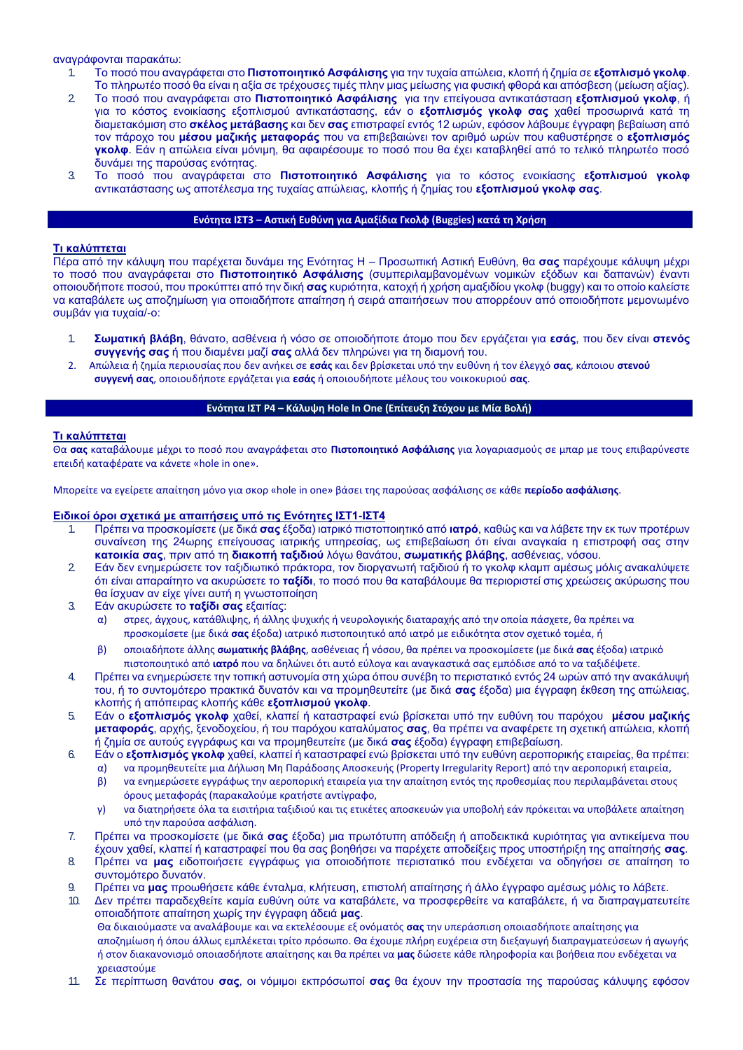#### αναγράφονται παρακάτω:

- 1. Το ποσό που αναγράφεται στο **Πιστοποιητικό Ασφάλισης** για την τυχαία απώλεια, κλοπή ή ζημία σε **εξοπλισμό γκολφ**. Το πληρωτέο ποσό θα είναι η αξία σε τρέχουσες τιμές πλην μιας μείωσης για φυσική φθορά και απόσβεση (μείωση αξίας).
- 2. Το ποσό που αναγράφεται στο **Πιστοποιητικό Ασφάλισης** για την επείγουσα αντικατάσταση **εξοπλισμού γκολφ**, ή για το κόστος ενοικίασης εξοπλισμού αντικατάστασης, εάν ο **εξοπλισμός γκολφ σας** χαθεί προσωρινά κατά τη διαμετακόμιση στο **σκέλος μετάβασης** και δεν **σας** επιστραφεί εντός 12 ωρών, εφόσον λάβουμε έγγραφη βεβαίωση από τον πάροχο του **μέσου μαζικής μεταφοράς** που να επιβεβαιώνει τον αριθμό ωρών που καθυστέρησε ο **εξοπλισμός γκολφ**. Εάν η απώλεια είναι μόνιμη, θα αφαιρέσουμε το ποσό που θα έχει καταβληθεί από το τελικό πληρωτέο ποσό δυνάμει της παρούσας ενότητας.
- 3. Το ποσό που αναγράφεται στο **Πιστοποιητικό Ασφάλισης** για το κόστος ενοικίασης **εξοπλισμού γκολφ**  αντικατάστασης ως αποτέλεσμα της τυχαίας απώλειας, κλοπής ή ζημίας του **εξοπλισμού γκολφ σας**.

#### **Ενότητα ΙΣΤ3 – Αστική Ευθύνη για Αμαξίδια Γκολφ (Buggies) κατά τη Χρήση**

#### **Τι καλύπτεται**

Πέρα από την κάλυψη που παρέχεται δυνάμει της Ενότητας Η – Προσωπική Αστική Ευθύνη, θα **σας** παρέχουμε κάλυψη μέχρι το ποσό που αναγράφεται στο **Πιστοποιητικό Ασφάλισης** (συμπεριλαμβανομένων νομικών εξόδων και δαπανών) έναντι οποιουδήποτε ποσού, που προκύπτει από την δική **σας** κυριότητα, κατοχή ή χρήση αμαξιδίου γκολφ (buggy) και το οποίο καλείστε να καταβάλετε ως αποζημίωση για οποιαδήποτε απαίτηση ή σειρά απαιτήσεων που απορρέουν από οποιοδήποτε μεμονωμένο συμβάν για τυχαία/-ο:

- 1. **Σωματική βλάβη**, θάνατο, ασθένεια ή νόσο σε οποιοδήποτε άτομο που δεν εργάζεται για **εσάς**, που δεν είναι **στενός συγγενής σας** ή που διαμένει μαζί **σας** αλλά δεν πληρώνει για τη διαμονή του.
- 2. Απώλεια ή ζημία περιουσίας που δεν ανήκει σε **εσάς** και δεν βρίσκεται υπό την ευθύνη ή τον έλεγχό **σας**, κάποιου **στενού συγγενή σας**, οποιουδήποτε εργάζεται για **εσάς** ή οποιουδήποτε μέλους του νοικοκυριού **σας**.

## **Ενότητα ΙΣΤ P4 – Κάλυψη Hole In One (Επίτευξη Στόχου με Μία Βολή)**

#### **Τι καλύπτεται**

Θα **σας** καταβάλουμε μέχρι το ποσό που αναγράφεται στο **Πιστοποιητικό Ασφάλισης** για λογαριασμούς σε μπαρ με τους επιβαρύνεστε επειδή καταφέρατε να κάνετε «hole in one».

Μπορείτε να εγείρετε απαίτηση μόνο για σκορ «hole in one» βάσει της παρούσας ασφάλισης σε κάθε **περίοδο ασφάλισης**.

#### **Ειδικοί όροι σχετικά με απαιτήσεις υπό τις Ενότητες ΙΣΤ1-ΙΣΤ4**

- 1. Πρέπει να προσκομίσετε (με δικά **σας** έξοδα) ιατρικό πιστοποιητικό από **ιατρό**, καθώς και να λάβετε την εκ των προτέρων συναίνεση της 24ωρης επείγουσας ιατρικής υπηρεσίας, ως επιβεβαίωση ότι είναι αναγκαία η επιστροφή σας στην **κατοικία σας**, πριν από τη **διακοπή ταξιδιού** λόγω θανάτου, **σωματικής βλάβης**, ασθένειας, νόσου.
- 2. Εάν δεν ενημερώσετε τον ταξιδιωτικό πράκτορα, τον διοργανωτή ταξιδιού ή το γκολφ κλαμπ αμέσως μόλις ανακαλύψετε ότι είναι απαραίτητο να ακυρώσετε το **ταξίδι**, το ποσό που θα καταβάλουμε θα περιοριστεί στις χρεώσεις ακύρωσης που θα ίσχυαν αν είχε γίνει αυτή η γνωστοποίηση
- 3. Εάν ακυρώσετε το **ταξίδι σας** εξαιτίας:

α) στρες, άγχους, κατάθλιψης, ή άλλης ψυχικής ή νευρολογικής διαταραχής από την οποία πάσχετε, θα πρέπει να προσκομίσετε (με δικά **σας** έξοδα) ιατρικό πιστοποιητικό από ιατρό με ειδικότητα στον σχετικό τομέα, ή

- β) οποιαδήποτε άλλης **σωματικής βλάβης**, ασθένειας ή νόσου, θα πρέπει να προσκομίσετε (με δικά **σας** έξοδα) ιατρικό πιστοποιητικό από **ιατρό** που να δηλώνει ότι αυτό εύλογα και αναγκαστικά σας εμπόδισε από το να ταξιδέψετε.
- 4. Πρέπει να ενημερώσετε την τοπική αστυνομία στη χώρα όπου συνέβη το περιστατικό εντός 24 ωρών από την ανακάλυψή του, ή το συντομότερο πρακτικά δυνατόν και να προμηθευτείτε (με δικά **σας** έξοδα) μια έγγραφη έκθεση της απώλειας, κλοπής ή απόπειρας κλοπής κάθε **εξοπλισμού γκολφ**.
- 5. Εάν ο **εξοπλισμός γκολφ** χαθεί, κλαπεί ή καταστραφεί ενώ βρίσκεται υπό την ευθύνη του παρόχου **μέσου μαζικής μεταφοράς**, αρχής, ξενοδοχείου, ή του παρόχου καταλύματος **σας**, θα πρέπει να αναφέρετε τη σχετική απώλεια, κλοπή ή ζημία σε αυτούς εγγράφως και να προμηθευτείτε (με δικά **σας** έξοδα) έγγραφη επιβεβαίωση.
- 6. Εάν ο **εξοπλισμός γκολφ** χαθεί, κλαπεί ή καταστραφεί ενώ βρίσκεται υπό την ευθύνη αεροπορικής εταιρείας, θα πρέπει:
	- α) να προμηθευτείτε μια Δήλωση Μη Παράδοσης Αποσκευής (Property Irregularity Report) από την αεροπορική εταιρεία,
	- β) να ενημερώσετε εγγράφως την αεροπορική εταιρεία για την απαίτηση εντός της προθεσμίας που περιλαμβάνεται στους όρους μεταφοράς (παρακαλούμε κρατήστε αντίγραφο,
	- γ) να διατηρήσετε όλα τα εισιτήρια ταξιδιού και τις ετικέτες αποσκευών για υποβολή εάν πρόκειται να υποβάλετε απαίτηση υπό την παρούσα ασφάλιση.
- 7. Πρέπει να προσκομίσετε (με δικά **σας** έξοδα) μια πρωτότυπη απόδειξη ή αποδεικτικά κυριότητας για αντικείμενα που έχουν χαθεί, κλαπεί ή καταστραφεί που θα σας βοηθήσει να παρέχετε αποδείξεις προς υποστήριξη της απαίτησής **σας**.
- 8. Πρέπει να **μας** ειδοποιήσετε εγγράφως για οποιοδήποτε περιστατικό που ενδέχεται να οδηγήσει σε απαίτηση το συντομότερο δυνατόν.
- 9. Πρέπει να **μας** προωθήσετε κάθε ένταλμα, κλήτευση, επιστολή απαίτησης ή άλλο έγγραφο αμέσως μόλις το λάβετε.
- 10. Δεν πρέπει παραδεχθείτε καμία ευθύνη ούτε να καταβάλετε, να προσφερθείτε να καταβάλετε, ή να διαπραγματευτείτε οποιαδήποτε απαίτηση χωρίς την έγγραφη άδειά **μας**.

Θα δικαιούμαστε να αναλάβουμε και να εκτελέσουμε εξ ονόματός **σας** την υπεράσπιση οποιασδήποτε απαίτησης για αποζημίωση ή όπου άλλως εμπλέκεται τρίτο πρόσωπο. Θα έχουμε πλήρη ευχέρεια στη διεξαγωγή διαπραγματεύσεων ή αγωγής ή στον διακανονισμό οποιασδήποτε απαίτησης και θα πρέπει να **μας** δώσετε κάθε πληροφορία και βοήθεια που ενδέχεται να χρειαστούμε

11. Σε περίπτωση θανάτου **σας**, οι νόμιμοι εκπρόσωποί **σας** θα έχουν την προστασία της παρούσας κάλυψης εφόσον